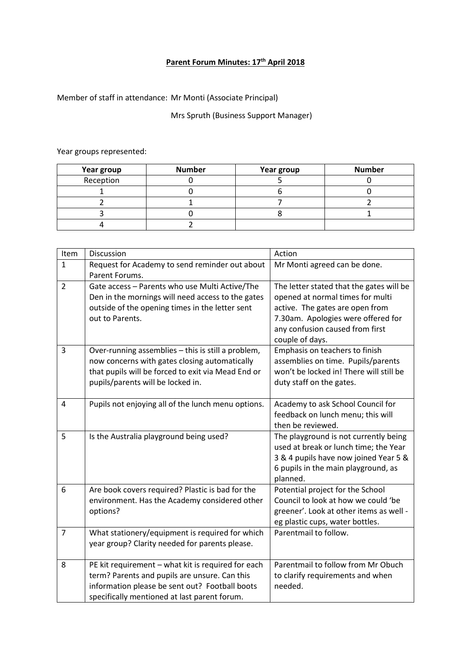## **Parent Forum Minutes: 17th April 2018**

Member of staff in attendance: Mr Monti (Associate Principal)

## Mrs Spruth (Business Support Manager)

## Year groups represented:

| Year group | <b>Number</b> | Year group | <b>Number</b> |
|------------|---------------|------------|---------------|
| Reception  |               |            |               |
|            |               |            |               |
|            |               |            |               |
|            |               |            |               |
|            |               |            |               |

| Item           | Discussion                                                                                                                                                                                            | Action                                                                                                                                                                                                      |
|----------------|-------------------------------------------------------------------------------------------------------------------------------------------------------------------------------------------------------|-------------------------------------------------------------------------------------------------------------------------------------------------------------------------------------------------------------|
| $\mathbf{1}$   | Request for Academy to send reminder out about<br>Parent Forums.                                                                                                                                      | Mr Monti agreed can be done.                                                                                                                                                                                |
| $\overline{2}$ | Gate access - Parents who use Multi Active/The<br>Den in the mornings will need access to the gates<br>outside of the opening times in the letter sent<br>out to Parents.                             | The letter stated that the gates will be<br>opened at normal times for multi<br>active. The gates are open from<br>7.30am. Apologies were offered for<br>any confusion caused from first<br>couple of days. |
| 3              | Over-running assemblies - this is still a problem,<br>now concerns with gates closing automatically<br>that pupils will be forced to exit via Mead End or<br>pupils/parents will be locked in.        | Emphasis on teachers to finish<br>assemblies on time. Pupils/parents<br>won't be locked in! There will still be<br>duty staff on the gates.                                                                 |
| 4              | Pupils not enjoying all of the lunch menu options.                                                                                                                                                    | Academy to ask School Council for<br>feedback on lunch menu; this will<br>then be reviewed.                                                                                                                 |
| 5              | Is the Australia playground being used?                                                                                                                                                               | The playground is not currently being<br>used at break or lunch time; the Year<br>3 & 4 pupils have now joined Year 5 &<br>6 pupils in the main playground, as<br>planned.                                  |
| 6              | Are book covers required? Plastic is bad for the<br>environment. Has the Academy considered other<br>options?                                                                                         | Potential project for the School<br>Council to look at how we could 'be<br>greener'. Look at other items as well -<br>eg plastic cups, water bottles.                                                       |
| $\overline{7}$ | What stationery/equipment is required for which<br>year group? Clarity needed for parents please.                                                                                                     | Parentmail to follow.                                                                                                                                                                                       |
| 8              | PE kit requirement - what kit is required for each<br>term? Parents and pupils are unsure. Can this<br>information please be sent out? Football boots<br>specifically mentioned at last parent forum. | Parentmail to follow from Mr Obuch<br>to clarify requirements and when<br>needed.                                                                                                                           |